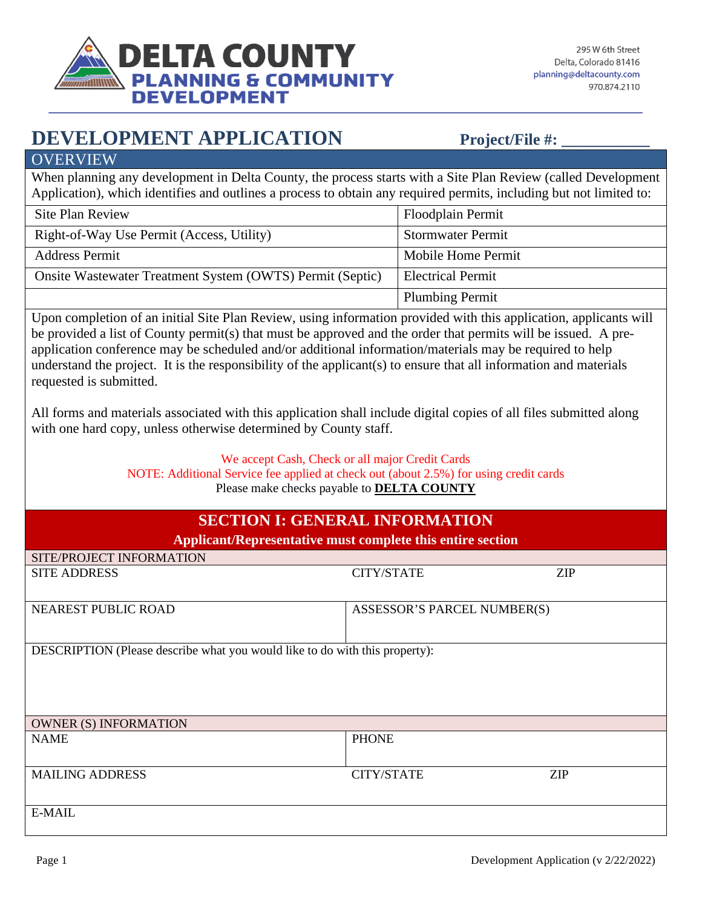

## **DEVELOPMENT APPLICATION** Project/File #:

**OVERVIEW** 

When planning any development in Delta County, the process starts with a Site Plan Review (called Development Application), which identifies and outlines a process to obtain any required permits, including but not limited to:

| Site Plan Review                                          | Floodplain Permit        |
|-----------------------------------------------------------|--------------------------|
| Right-of-Way Use Permit (Access, Utility)                 | <b>Stormwater Permit</b> |
| <b>Address Permit</b>                                     | Mobile Home Permit       |
| Onsite Wastewater Treatment System (OWTS) Permit (Septic) | <b>Electrical Permit</b> |
|                                                           | <b>Plumbing Permit</b>   |

Upon completion of an initial Site Plan Review, using information provided with this application, applicants will be provided a list of County permit(s) that must be approved and the order that permits will be issued. A preapplication conference may be scheduled and/or additional information/materials may be required to help understand the project. It is the responsibility of the applicant(s) to ensure that all information and materials requested is submitted.

All forms and materials associated with this application shall include digital copies of all files submitted along with one hard copy, unless otherwise determined by County staff.

We accept Cash, Check or all major Credit Cards

NOTE: Additional Service fee applied at check out (about 2.5%) for using credit cards Please make checks payable to **DELTA COUNTY** 

## **SECTION I: GENERAL INFORMATION**

| <b>Applicant/Representative must complete this entire section</b>           |                             |            |  |
|-----------------------------------------------------------------------------|-----------------------------|------------|--|
| SITE/PROJECT INFORMATION                                                    |                             |            |  |
| <b>SITE ADDRESS</b>                                                         | <b>CITY/STATE</b>           | <b>ZIP</b> |  |
|                                                                             |                             |            |  |
| NEAREST PUBLIC ROAD                                                         | ASSESSOR'S PARCEL NUMBER(S) |            |  |
| DESCRIPTION (Please describe what you would like to do with this property): |                             |            |  |
| <b>OWNER (S) INFORMATION</b>                                                |                             |            |  |
| <b>NAME</b>                                                                 | <b>PHONE</b>                |            |  |
| <b>MAILING ADDRESS</b>                                                      | <b>CITY/STATE</b>           | <b>ZIP</b> |  |
| <b>E-MAIL</b>                                                               |                             |            |  |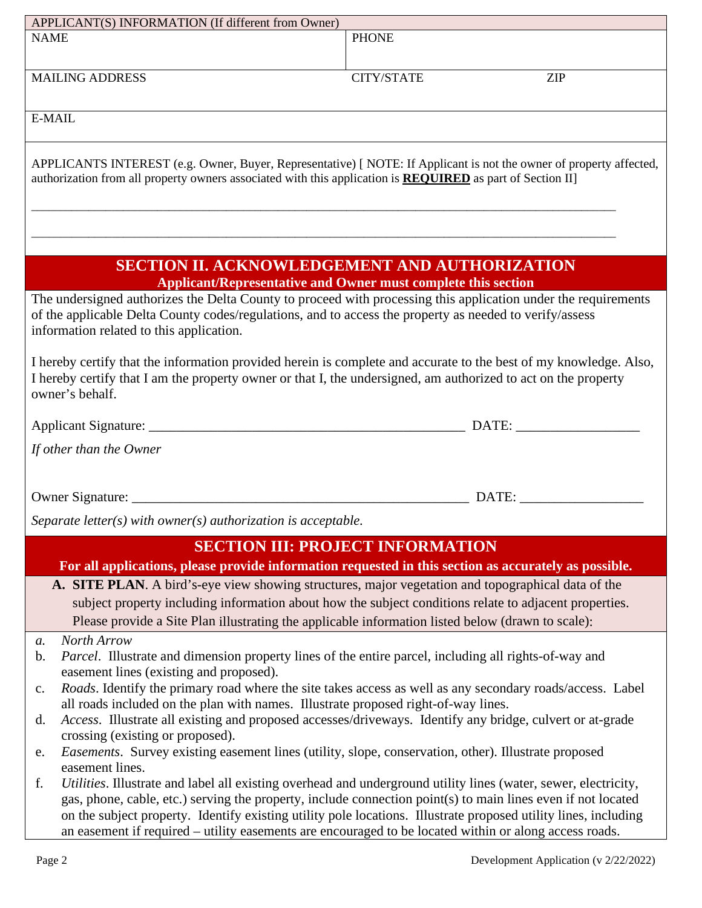|                                                                                                                                                                                                                                                        | APPLICANT(S) INFORMATION (If different from Owner)                                                                                                  |                                                                                                                 |  |  |
|--------------------------------------------------------------------------------------------------------------------------------------------------------------------------------------------------------------------------------------------------------|-----------------------------------------------------------------------------------------------------------------------------------------------------|-----------------------------------------------------------------------------------------------------------------|--|--|
| <b>NAME</b>                                                                                                                                                                                                                                            |                                                                                                                                                     | <b>PHONE</b>                                                                                                    |  |  |
|                                                                                                                                                                                                                                                        |                                                                                                                                                     |                                                                                                                 |  |  |
|                                                                                                                                                                                                                                                        | <b>MAILING ADDRESS</b>                                                                                                                              | CITY/STATE<br><b>ZIP</b>                                                                                        |  |  |
|                                                                                                                                                                                                                                                        |                                                                                                                                                     |                                                                                                                 |  |  |
|                                                                                                                                                                                                                                                        |                                                                                                                                                     |                                                                                                                 |  |  |
| E-MAIL                                                                                                                                                                                                                                                 |                                                                                                                                                     |                                                                                                                 |  |  |
|                                                                                                                                                                                                                                                        |                                                                                                                                                     |                                                                                                                 |  |  |
| APPLICANTS INTEREST (e.g. Owner, Buyer, Representative) [ NOTE: If Applicant is not the owner of property affected,<br>authorization from all property owners associated with this application is <b>REQUIRED</b> as part of Section II]               |                                                                                                                                                     |                                                                                                                 |  |  |
|                                                                                                                                                                                                                                                        |                                                                                                                                                     |                                                                                                                 |  |  |
|                                                                                                                                                                                                                                                        |                                                                                                                                                     |                                                                                                                 |  |  |
|                                                                                                                                                                                                                                                        |                                                                                                                                                     |                                                                                                                 |  |  |
| <b>SECTION II. ACKNOWLEDGEMENT AND AUTHORIZATION</b><br><b>Applicant/Representative and Owner must complete this section</b>                                                                                                                           |                                                                                                                                                     |                                                                                                                 |  |  |
|                                                                                                                                                                                                                                                        | of the applicable Delta County codes/regulations, and to access the property as needed to verify/assess<br>information related to this application. | The undersigned authorizes the Delta County to proceed with processing this application under the requirements  |  |  |
| I hereby certify that the information provided herein is complete and accurate to the best of my knowledge. Also,<br>I hereby certify that I am the property owner or that I, the undersigned, am authorized to act on the property<br>owner's behalf. |                                                                                                                                                     |                                                                                                                 |  |  |
|                                                                                                                                                                                                                                                        |                                                                                                                                                     |                                                                                                                 |  |  |
|                                                                                                                                                                                                                                                        |                                                                                                                                                     |                                                                                                                 |  |  |
|                                                                                                                                                                                                                                                        | If other than the Owner                                                                                                                             |                                                                                                                 |  |  |
|                                                                                                                                                                                                                                                        |                                                                                                                                                     |                                                                                                                 |  |  |
|                                                                                                                                                                                                                                                        |                                                                                                                                                     |                                                                                                                 |  |  |
|                                                                                                                                                                                                                                                        |                                                                                                                                                     |                                                                                                                 |  |  |
|                                                                                                                                                                                                                                                        | Separate letter(s) with owner(s) authorization is acceptable.                                                                                       |                                                                                                                 |  |  |
|                                                                                                                                                                                                                                                        |                                                                                                                                                     | <b>SECTION III: PROJECT INFORMATION</b>                                                                         |  |  |
|                                                                                                                                                                                                                                                        |                                                                                                                                                     | For all applications, please provide information requested in this section as accurately as possible.           |  |  |
|                                                                                                                                                                                                                                                        |                                                                                                                                                     |                                                                                                                 |  |  |
|                                                                                                                                                                                                                                                        | A. SITE PLAN. A bird's-eye view showing structures, major vegetation and topographical data of the                                                  |                                                                                                                 |  |  |
|                                                                                                                                                                                                                                                        |                                                                                                                                                     | subject property including information about how the subject conditions relate to adjacent properties.          |  |  |
|                                                                                                                                                                                                                                                        | Please provide a Site Plan illustrating the applicable information listed below (drawn to scale):                                                   |                                                                                                                 |  |  |
| $a$ .                                                                                                                                                                                                                                                  | North Arrow                                                                                                                                         |                                                                                                                 |  |  |
| b.                                                                                                                                                                                                                                                     | Parcel. Illustrate and dimension property lines of the entire parcel, including all rights-of-way and                                               |                                                                                                                 |  |  |
|                                                                                                                                                                                                                                                        | easement lines (existing and proposed).                                                                                                             |                                                                                                                 |  |  |
| c.                                                                                                                                                                                                                                                     |                                                                                                                                                     | Roads. Identify the primary road where the site takes access as well as any secondary roads/access. Label       |  |  |
|                                                                                                                                                                                                                                                        | all roads included on the plan with names. Illustrate proposed right-of-way lines.                                                                  |                                                                                                                 |  |  |
| d.                                                                                                                                                                                                                                                     |                                                                                                                                                     | Access. Illustrate all existing and proposed accesses/driveways. Identify any bridge, culvert or at-grade       |  |  |
| e.                                                                                                                                                                                                                                                     | crossing (existing or proposed).<br>Easements. Survey existing easement lines (utility, slope, conservation, other). Illustrate proposed            |                                                                                                                 |  |  |
|                                                                                                                                                                                                                                                        | easement lines.                                                                                                                                     |                                                                                                                 |  |  |
| f.                                                                                                                                                                                                                                                     |                                                                                                                                                     | Utilities. Illustrate and label all existing overhead and underground utility lines (water, sewer, electricity, |  |  |
|                                                                                                                                                                                                                                                        |                                                                                                                                                     | gas, phone, cable, etc.) serving the property, include connection point(s) to main lines even if not located    |  |  |
|                                                                                                                                                                                                                                                        |                                                                                                                                                     | on the subject property. Identify existing utility pole locations. Illustrate proposed utility lines, including |  |  |
|                                                                                                                                                                                                                                                        | an easement if required – utility easements are encouraged to be located within or along access roads.                                              |                                                                                                                 |  |  |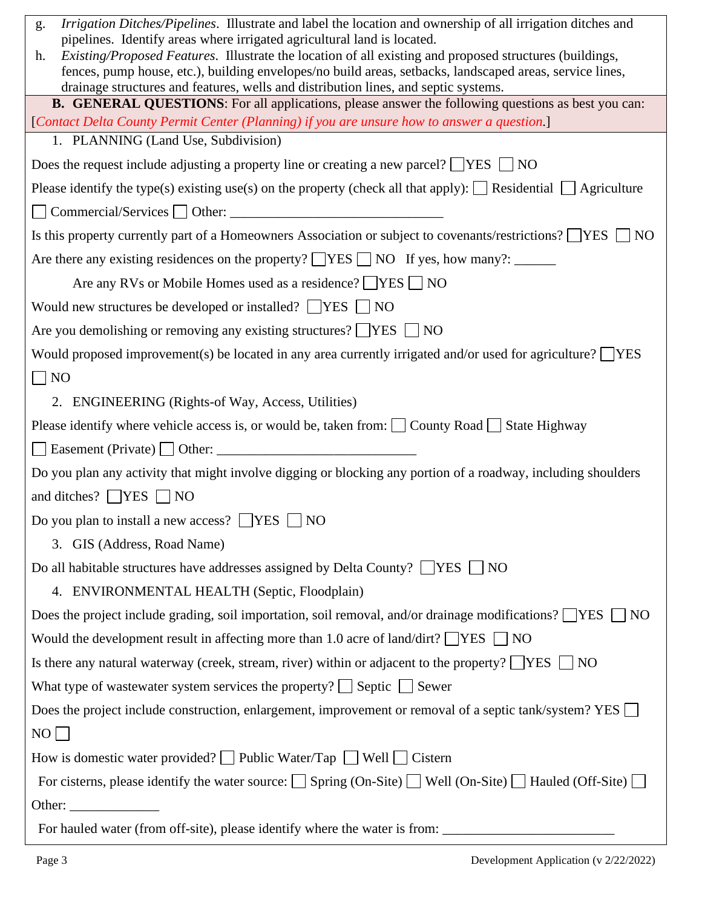| Irrigation Ditches/Pipelines. Illustrate and label the location and ownership of all irrigation ditches and<br>g.                                                                                |  |  |  |
|--------------------------------------------------------------------------------------------------------------------------------------------------------------------------------------------------|--|--|--|
| pipelines. Identify areas where irrigated agricultural land is located.<br>Existing/Proposed Features. Illustrate the location of all existing and proposed structures (buildings,<br>h.         |  |  |  |
| fences, pump house, etc.), building envelopes/no build areas, setbacks, landscaped areas, service lines,                                                                                         |  |  |  |
| drainage structures and features, wells and distribution lines, and septic systems.<br><b>B. GENERAL QUESTIONS:</b> For all applications, please answer the following questions as best you can: |  |  |  |
| [Contact Delta County Permit Center (Planning) if you are unsure how to answer a question.]                                                                                                      |  |  |  |
| 1. PLANNING (Land Use, Subdivision)                                                                                                                                                              |  |  |  |
| Does the request include adjusting a property line or creating a new parcel? $\Box$ YES $\Box$ NO                                                                                                |  |  |  |
| Please identify the type(s) existing use(s) on the property (check all that apply): $\Box$ Residential $\Box$ Agriculture                                                                        |  |  |  |
|                                                                                                                                                                                                  |  |  |  |
| Is this property currently part of a Homeowners Association or subject to covenants/restrictions? TYES TNO                                                                                       |  |  |  |
| Are there any existing residences on the property? $\Box$ YES $\Box$ NO If yes, how many?: ______                                                                                                |  |  |  |
| Are any RVs or Mobile Homes used as a residence? ■ YES ■ NO                                                                                                                                      |  |  |  |
| Would new structures be developed or installed? $\Box$ YES $\Box$ NO                                                                                                                             |  |  |  |
| Are you demolishing or removing any existing structures? $\Box$ YES $\Box$ NO                                                                                                                    |  |  |  |
| Would proposed improvement(s) be located in any area currently irrigated and/or used for agriculture? $\Box$ YES                                                                                 |  |  |  |
| $\neg$ NO                                                                                                                                                                                        |  |  |  |
| 2. ENGINEERING (Rights-of Way, Access, Utilities)                                                                                                                                                |  |  |  |
| Please identify where vehicle access is, or would be, taken from: $\Box$ County Road $\Box$ State Highway                                                                                        |  |  |  |
|                                                                                                                                                                                                  |  |  |  |
| Do you plan any activity that might involve digging or blocking any portion of a roadway, including shoulders                                                                                    |  |  |  |
| and ditches? $\Box$ YES $\Box$ NO                                                                                                                                                                |  |  |  |
| Do you plan to install a new access? $\Box$ YES $\Box$ NO                                                                                                                                        |  |  |  |
| 3. GIS (Address, Road Name)                                                                                                                                                                      |  |  |  |
| Do all habitable structures have addresses assigned by Delta County? $\Box$ YES $\Box$ NO                                                                                                        |  |  |  |
| 4. ENVIRONMENTAL HEALTH (Septic, Floodplain)                                                                                                                                                     |  |  |  |
| Does the project include grading, soil importation, soil removal, and/or drainage modifications? $\Box$ YES $\Box$ NO                                                                            |  |  |  |
| Would the development result in affecting more than 1.0 acre of land/dirt? $\Box$ YES $\Box$ NO                                                                                                  |  |  |  |
| Is there any natural waterway (creek, stream, river) within or adjacent to the property? $\Box$ YES $\Box$ NO                                                                                    |  |  |  |
| What type of wastewater system services the property? $\Box$ Septic $\Box$ Sewer                                                                                                                 |  |  |  |
| Does the project include construction, enlargement, improvement or removal of a septic tank/system? YES $\Box$                                                                                   |  |  |  |
| NO                                                                                                                                                                                               |  |  |  |
| How is domestic water provided? $\Box$ Public Water/Tap $\Box$ Well $\Box$ Cistern                                                                                                               |  |  |  |
| For cisterns, please identify the water source: $\Box$ Spring (On-Site) $\Box$ Well (On-Site) $\Box$ Hauled (Off-Site) $\Box$                                                                    |  |  |  |
| Other: $\frac{1}{\sqrt{1-\frac{1}{2}} \cdot \frac{1}{2}}$                                                                                                                                        |  |  |  |
|                                                                                                                                                                                                  |  |  |  |